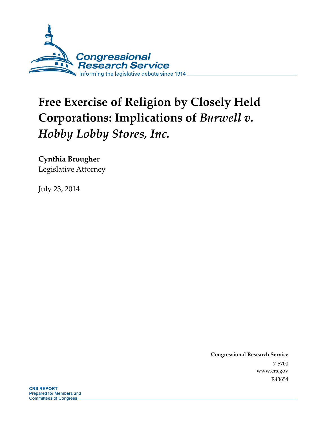

# **Free Exercise of Religion by Closely Held Corporations: Implications of** *Burwell v. Hobby Lobby Stores, Inc.*

**Cynthia Brougher** 

Legislative Attorney

July 23, 2014

**Congressional Research Service**  7-5700 www.crs.gov R43654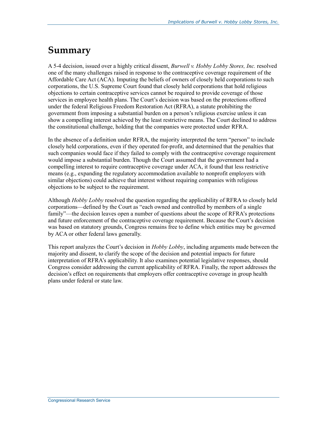### **Summary**

A 5-4 decision, issued over a highly critical dissent, *Burwell v. Hobby Lobby Stores, Inc.* resolved one of the many challenges raised in response to the contraceptive coverage requirement of the Affordable Care Act (ACA). Imputing the beliefs of owners of closely held corporations to such corporations, the U.S. Supreme Court found that closely held corporations that hold religious objections to certain contraceptive services cannot be required to provide coverage of those services in employee health plans. The Court's decision was based on the protections offered under the federal Religious Freedom Restoration Act (RFRA), a statute prohibiting the government from imposing a substantial burden on a person's religious exercise unless it can show a compelling interest achieved by the least restrictive means. The Court declined to address the constitutional challenge, holding that the companies were protected under RFRA.

In the absence of a definition under RFRA, the majority interpreted the term "person" to include closely held corporations, even if they operated for-profit, and determined that the penalties that such companies would face if they failed to comply with the contraceptive coverage requirement would impose a substantial burden. Though the Court assumed that the government had a compelling interest to require contraceptive coverage under ACA, it found that less restrictive means (e.g., expanding the regulatory accommodation available to nonprofit employers with similar objections) could achieve that interest without requiring companies with religious objections to be subject to the requirement.

Although *Hobby Lobby* resolved the question regarding the applicability of RFRA to closely held corporations—defined by the Court as "each owned and controlled by members of a single family"—the decision leaves open a number of questions about the scope of RFRA's protections and future enforcement of the contraceptive coverage requirement. Because the Court's decision was based on statutory grounds, Congress remains free to define which entities may be governed by ACA or other federal laws generally.

This report analyzes the Court's decision in *Hobby Lobby*, including arguments made between the majority and dissent, to clarify the scope of the decision and potential impacts for future interpretation of RFRA's applicability. It also examines potential legislative responses, should Congress consider addressing the current applicability of RFRA. Finally, the report addresses the decision's effect on requirements that employers offer contraceptive coverage in group health plans under federal or state law.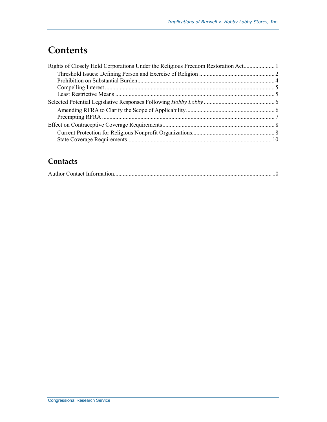## **Contents**

| Rights of Closely Held Corporations Under the Religious Freedom Restoration Act |
|---------------------------------------------------------------------------------|
|                                                                                 |
|                                                                                 |
|                                                                                 |
|                                                                                 |
|                                                                                 |
|                                                                                 |
|                                                                                 |
|                                                                                 |
|                                                                                 |
|                                                                                 |
|                                                                                 |

### **Contacts**

|--|--|--|--|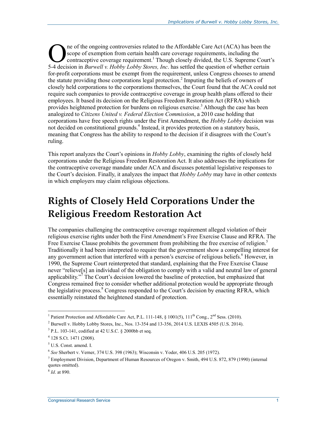ne of the ongoing controversies related to the Affordable Care Act (ACA) has been the scope of exemption from certain health care coverage requirements, including the contraceptive coverage requirement.<sup>1</sup> Though closely divided, the U.S. Supreme Court's The of the ongoing controversies related to the Affordable Care Act (ACA) has been the scope of exemption from certain health care coverage requirements, including the contraceptive coverage requirement.<sup>1</sup> Though closely for-profit corporations must be exempt from the requirement, unless Congress chooses to amend the statute providing those corporations legal protection.<sup>2</sup> Imputing the beliefs of owners of closely held corporations to the corporations themselves, the Court found that the ACA could not require such companies to provide contraceptive coverage in group health plans offered to their employees. It based its decision on the Religious Freedom Restoration Act (RFRA) which provides heightened protection for burdens on religious exercise.<sup>3</sup> Although the case has been analogized to *Citizens United v. Federal Election Commission*, a 2010 case holding that corporations have free speech rights under the First Amendment, the *Hobby Lobby* decision was not decided on constitutional grounds.<sup>4</sup> Instead, it provides protection on a statutory basis, meaning that Congress has the ability to respond to the decision if it disagrees with the Court's ruling.

This report analyzes the Court's opinions in *Hobby Lobby*, examining the rights of closely held corporations under the Religious Freedom Restoration Act. It also addresses the implications for the contraceptive coverage mandate under ACA and discusses potential legislative responses to the Court's decision. Finally, it analyzes the impact that *Hobby Lobby* may have in other contexts in which employers may claim religious objections.

# **Rights of Closely Held Corporations Under the Religious Freedom Restoration Act**

The companies challenging the contraceptive coverage requirement alleged violation of their religious exercise rights under both the First Amendment's Free Exercise Clause and RFRA. The Free Exercise Clause prohibits the government from prohibiting the free exercise of religion.<sup>5</sup> Traditionally it had been interpreted to require that the government show a compelling interest for any government action that interfered with a person's exercise of religious beliefs.<sup>6</sup> However, in 1990, the Supreme Court reinterpreted that standard, explaining that the Free Exercise Clause never "relieve[s] an individual of the obligation to comply with a valid and neutral law of general applicability."<sup> $\bar{7}$ </sup> The Court's decision lowered the baseline of protection, but emphasized that Congress remained free to consider whether additional protection would be appropriate through the legislative process.<sup>8</sup> Congress responded to the Court's decision by enacting RFRA, which essentially reinstated the heightened standard of protection.

<sup>1&</sup>lt;br><sup>1</sup> Patient Protection and Affordable Care Act, P.L. 111-148, § 1001(5), 111<sup>th</sup> Cong., 2<sup>nd</sup> Sess. (2010).

 $^2$  Burwell v. Hobby Lobby Stores, Inc., Nos. 13-354 and 13-356, 2014 U.S. LEXIS 4505 (U.S. 2014).

 $3$  P.L. 103-141, codified at 42 U.S.C. § 2000bb et seq.

<sup>4</sup> 128 S.Ct. 1471 (2008).

<sup>5</sup> U.S. Const. amend. I.

<sup>6</sup> *See* Sherbert v. Verner, 374 U.S. 398 (1963); Wisconsin v. Yoder, 406 U.S. 205 (1972).

<sup>&</sup>lt;sup>7</sup> Employment Division, Department of Human Resources of Oregon v. Smith, 494 U.S. 872, 879 (1990) (internal quotes omitted).

<sup>8</sup> *Id*. at 890.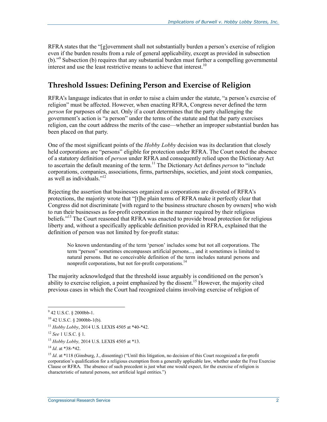RFRA states that the "[g]overnment shall not substantially burden a person's exercise of religion even if the burden results from a rule of general applicability, except as provided in subsection (b)."9 Subsection (b) requires that any substantial burden must further a compelling governmental interest and use the least restrictive means to achieve that interest.<sup>10</sup>

#### **Threshold Issues: Defining Person and Exercise of Religion**

RFRA's language indicates that in order to raise a claim under the statute, "a person's exercise of religion" must be affected. However, when enacting RFRA, Congress never defined the term *person* for purposes of the act. Only if a court determines that the party challenging the government's action is "a person" under the terms of the statute and that the party exercises religion, can the court address the merits of the case—whether an improper substantial burden has been placed on that party.

One of the most significant points of the *Hobby Lobby* decision was its declaration that closely held corporations are "persons" eligible for protection under RFRA. The Court noted the absence of a statutory definition of *person* under RFRA and consequently relied upon the Dictionary Act to ascertain the default meaning of the term.11 The Dictionary Act defines *person* to "include corporations, companies, associations, firms, partnerships, societies, and joint stock companies, as well as individuals."12

Rejecting the assertion that businesses organized as corporations are divested of RFRA's protections, the majority wrote that "[t]he plain terms of RFRA make it perfectly clear that Congress did not discriminate [with regard to the business structure chosen by owners] who wish to run their businesses as for-profit corporation in the manner required by their religious beliefs."<sup>13</sup> The Court reasoned that RFRA was enacted to provide broad protection for religious liberty and, without a specifically applicable definition provided in RFRA, explained that the definition of person was not limited by for-profit status:

No known understanding of the term 'person' includes some but not all corporations. The term "person" sometimes encompasses artificial persons..., and it sometimes is limited to natural persons. But no conceivable definition of the term includes natural persons and nonprofit corporations, but not for-profit corporations.<sup>14</sup>

The majority acknowledged that the threshold issue arguably is conditioned on the person's ability to exercise religion, a point emphasized by the dissent.<sup>15</sup> However, the majority cited previous cases in which the Court had recognized claims involving exercise of religion of

 9 42 U.S.C. § 2000bb-1.

 $10$  42 U.S.C. § 2000bb-1(b).

<sup>11</sup> *Hobby Lobby*, 2014 U.S. LEXIS 4505 at \*40-\*42.

<sup>12</sup> *See* 1 U.S.C. § 1.

<sup>13</sup> *Hobby Lobby,* 2014 U.S. LEXIS 4505 at \*13.

<sup>14</sup> *Id*. at \*38-\*42.

<sup>&</sup>lt;sup>15</sup> *Id.* at \*118 (Ginsburg, J., dissenting) ("Until this litigation, no decision of this Court recognized a for-profit corporation's qualification for a religious exemption from a generally applicable law, whether under the Free Exercise Clause or RFRA. The absence of such precedent is just what one would expect, for the exercise of religion is characteristic of natural persons, not artificial legal entities.")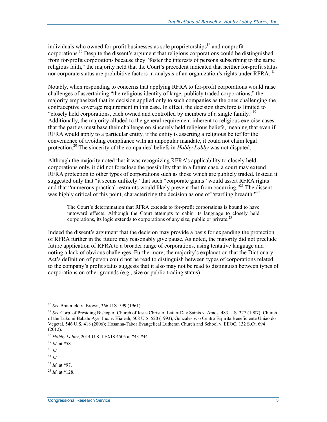individuals who owned for-profit businesses as sole proprietorships<sup>16</sup> and nonprofit corporations.17 Despite the dissent's argument that religious corporations could be distinguished from for-profit corporations because they "foster the interests of persons subscribing to the same religious faith," the majority held that the Court's precedent indicated that neither for-profit status nor corporate status are prohibitive factors in analysis of an organization's rights under RFRA.<sup>18</sup>

Notably, when responding to concerns that applying RFRA to for-profit corporations would raise challenges of ascertaining "the religious identity of large, publicly traded corporations," the majority emphasized that its decision applied only to such companies as the ones challenging the contraceptive coverage requirement in this case. In effect, the decision therefore is limited to "closely held corporations, each owned and controlled by members of a single family."19 Additionally, the majority alluded to the general requirement inherent to religious exercise cases that the parties must base their challenge on sincerely held religious beliefs, meaning that even if RFRA would apply to a particular entity, if the entity is asserting a religious belief for the convenience of avoiding compliance with an unpopular mandate, it could not claim legal protection.20 The sincerity of the companies' beliefs in *Hobby Lobby* was not disputed.

Although the majority noted that it was recognizing RFRA's applicability to closely held corporations only, it did not foreclose the possibility that in a future case, a court may extend RFRA protection to other types of corporations such as those which are publicly traded. Instead it suggested only that "it seems unlikely" that such "corporate giants" would assert RFRA rights and that "numerous practical restraints would likely prevent that from occurring."<sup>21</sup> The dissent was highly critical of this point, characterizing the decision as one of "startling breadth: $"^{22}$ 

The Court's determination that RFRA extends to for-profit corporations is bound to have untoward effects. Although the Court attempts to cabin its language to closely held corporations, its logic extends to corporations of any size, public or private.<sup>23</sup>

Indeed the dissent's argument that the decision may provide a basis for expanding the protection of RFRA further in the future may reasonably give pause. As noted, the majority did not preclude future application of RFRA to a broader range of corporations, using tentative language and noting a lack of obvious challenges. Furthermore, the majority's explanation that the Dictionary Act's definition of person could not be read to distinguish between types of corporations related to the company's profit status suggests that it also may not be read to distinguish between types of corporations on other grounds (e.g., size or public trading status).

<u>.</u>

<sup>16</sup> *See* Braunfeld v. Brown, 366 U.S. 599 (1961).

<sup>&</sup>lt;sup>17</sup> See Corp. of Presiding Bishop of Church of Jesus Christ of Latter-Day Saints v. Amos, 483 U.S. 327 (1987); Church of the Lukumi Babalu Aye, Inc. v. Hialeah, 508 U.S. 520 (1993); Gonzales v. o Centro Espirita Beneficiente Uniao do Vegetal, 546 U.S. 418 (2006); Hosanna-Tabor Evangelical Lutheran Church and School v. EEOC, 132 S.Ct. 694 (2012).

<sup>18</sup> *Hobby Lobby*, 2014 U.S. LEXIS 4505 at \*43-\*44.

<sup>19</sup> *Id*. at \*58.

 $^{20}$  *Id*.

 $^{21}$  *Id*.

<sup>22</sup> *Id*. at \*97.

<sup>23</sup> *Id*. at \*128.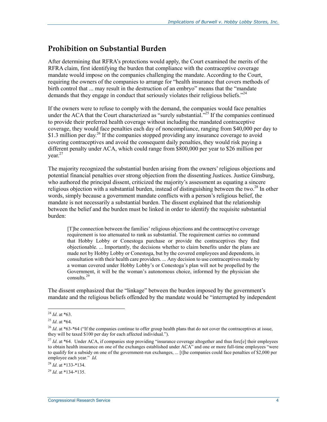#### **Prohibition on Substantial Burden**

After determining that RFRA's protections would apply, the Court examined the merits of the RFRA claim, first identifying the burden that compliance with the contraceptive coverage mandate would impose on the companies challenging the mandate. According to the Court, requiring the owners of the companies to arrange for "health insurance that covers methods of birth control that ... may result in the destruction of an embryo" means that the "mandate demands that they engage in conduct that seriously violates their religious beliefs."<sup>24</sup>

If the owners were to refuse to comply with the demand, the companies would face penalties under the ACA that the Court characterized as "surely substantial."<sup>25</sup> If the companies continued to provide their preferred health coverage without including the mandated contraceptive coverage, they would face penalties each day of noncompliance, ranging from \$40,000 per day to \$1.3 million per day.<sup>26</sup> If the companies stopped providing any insurance coverage to avoid covering contraceptives and avoid the consequent daily penalties, they would risk paying a different penalty under ACA, which could range from \$800,000 per year to \$26 million per  $year<sup>27</sup>$ 

The majority recognized the substantial burden arising from the owners' religious objections and potential financial penalties over strong objection from the dissenting Justices. Justice Ginsburg, who authored the principal dissent, criticized the majority's assessment as equating a sincere religious objection with a substantial burden, instead of distinguishing between the two. $^{28}$  In other words, simply because a government mandate conflicts with a person's religious belief, the mandate is not necessarily a substantial burden. The dissent explained that the relationship between the belief and the burden must be linked in order to identify the requisite substantial burden:

[T]he connection between the families' religious objections and the contraceptive coverage requirement is too attenuated to rank as substantial. The requirement carries no command that Hobby Lobby or Conestoga purchase or provide the contraceptives they find objectionable. ... Importantly, the decisions whether to claim benefits under the plans are made not by Hobby Lobby or Conestoga, but by the covered employees and dependents, in consultation with their health care providers. ... Any decision to use contraceptives made by a woman covered under Hobby Lobby's or Conestoga's plan will not be propelled by the Government, it will be the woman's autonomous choice, informed by the physician she consults<sup>29</sup>

The dissent emphasized that the "linkage" between the burden imposed by the government's mandate and the religious beliefs offended by the mandate would be "interrupted by independent

<sup>1</sup> <sup>24</sup> *Id*. at \*63.

<sup>25</sup> *Id*. at \*64.

<sup>&</sup>lt;sup>26</sup> *Id.* at \*63-\*64 ("If the companies continue to offer group health plans that do not cover the contraceptives at issue, they will be taxed \$100 per day for each affected individual.").

<sup>&</sup>lt;sup>27</sup> *Id.* at \*64. Under ACA, if companies stop providing "insurance coverage altogether and thus forc[e] their employees to obtain health insurance on one of the exchanges established under ACA" and one or more full-time employees "were to qualify for a subsidy on one of the government-run exchanges, ... [t]he companies could face penalties of \$2,000 per employee each year." *Id*.

<sup>28</sup> *Id*. at \*133-\*134.

<sup>29</sup> *Id*. at \*134-\*135.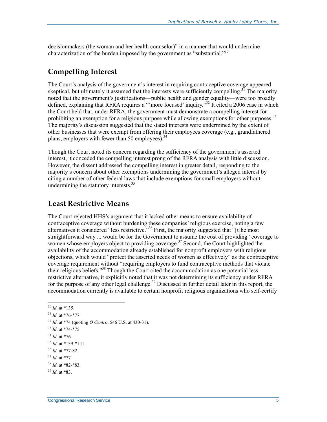decisionmakers (the woman and her health counselor)" in a manner that would undermine characterization of the burden imposed by the government as "substantial."<sup>30</sup>

### **Compelling Interest**

The Court's analysis of the government's interest in requiring contraceptive coverage appeared skeptical, but ultimately it assumed that the interests were sufficiently compelling.<sup>31</sup> The majority noted that the government's justifications—public health and gender equality—were too broadly defined, explaining that RFRA requires a "'more focused' inquiry."<sup>32</sup> It cited a 2006 case in which the Court held that, under RFRA, the government must demonstrate a compelling interest for prohibiting an exemption for a religious purpose while allowing exemptions for other purposes.<sup>33</sup> The majority's discussion suggested that the stated interests were undermined by the extent of other businesses that were exempt from offering their employees coverage (e.g., grandfathered plans, employers with fewer than 50 employees). $34$ 

Though the Court noted its concern regarding the sufficiency of the government's asserted interest, it conceded the compelling interest prong of the RFRA analysis with little discussion. However, the dissent addressed the compelling interest in greater detail, responding to the majority's concern about other exemptions undermining the government's alleged interest by citing a number of other federal laws that include exemptions for small employers without undermining the statutory interests. $35$ 

#### **Least Restrictive Means**

The Court rejected HHS's argument that it lacked other means to ensure availability of contraceptive coverage without burdening these companies' religious exercise, noting a few alternatives it considered "less restrictive."36 First, the majority suggested that "[t]he most straightforward way ... would be for the Government to assume the cost of providing" coverage to women whose employers object to providing coverage.<sup>37</sup> Second, the Court highlighted the availability of the accommodation already established for nonprofit employers with religious objections, which would "protect the asserted needs of women as effectively" as the contraceptive coverage requirement without "requiring employers to fund contraceptive methods that violate their religious beliefs."38 Though the Court cited the accommodation as one potential less restrictive alternative, it explicitly noted that it was not determining its sufficiency under RFRA for the purpose of any other legal challenge.<sup>39</sup> Discussed in further detail later in this report, the accommodation currently is available to certain nonprofit religious organizations who self-certify

<sup>1</sup> <sup>30</sup> *Id*. at \*135.

<sup>31</sup> *Id*. at \*76-\*77.

<sup>32</sup> *Id*. at \*74 (quoting *O Centro*, 546 U.S. at 430-31).

<sup>33</sup> *Id*. at \*74-\*75.

<sup>34</sup> *Id*. at \*76.

<sup>35</sup> *Id*. at \*139-\*141.

<sup>36</sup> *Id*. at \*77-82.

<sup>37</sup> *Id*. at \*77.

<sup>38</sup> *Id*. at \*82-\*83.

<sup>39</sup> *Id*. at \*83.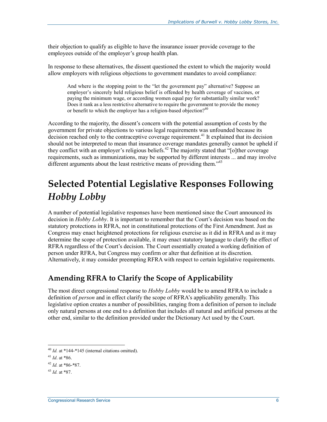their objection to qualify as eligible to have the insurance issuer provide coverage to the employees outside of the employer's group health plan.

In response to these alternatives, the dissent questioned the extent to which the majority would allow employers with religious objections to government mandates to avoid compliance:

And where is the stopping point to the "let the government pay" alternative? Suppose an employer's sincerely held religious belief is offended by health coverage of vaccines, or paying the minimum wage, or according women equal pay for substantially similar work? Does it rank as a less restrictive alternative to require the government to provide the money or benefit to which the employer has a religion-based objection?<sup>40</sup>

According to the majority, the dissent's concern with the potential assumption of costs by the government for private objections to various legal requirements was unfounded because its decision reached only to the contraceptive coverage requirement.<sup>41</sup> It explained that its decision should not be interpreted to mean that insurance coverage mandates generally cannot be upheld if they conflict with an employer's religious beliefs.<sup>42</sup> The majority stated that " $\lceil$ o]ther coverage requirements, such as immunizations, may be supported by different interests ... and may involve different arguments about the least restrictive means of providing them."<sup>43</sup>

# **Selected Potential Legislative Responses Following**  *Hobby Lobby*

A number of potential legislative responses have been mentioned since the Court announced its decision in *Hobby Lobby*. It is important to remember that the Court's decision was based on the statutory protections in RFRA, not in constitutional protections of the First Amendment. Just as Congress may enact heightened protections for religious exercise as it did in RFRA and as it may determine the scope of protection available, it may enact statutory language to clarify the effect of RFRA regardless of the Court's decision. The Court essentially created a working definition of person under RFRA, but Congress may confirm or alter that definition at its discretion. Alternatively, it may consider preempting RFRA with respect to certain legislative requirements.

#### **Amending RFRA to Clarify the Scope of Applicability**

The most direct congressional response to *Hobby Lobby* would be to amend RFRA to include a definition of *person* and in effect clarify the scope of RFRA's applicability generally. This legislative option creates a number of possibilities, ranging from a definition of person to include only natural persons at one end to a definition that includes all natural and artificial persons at the other end, similar to the definition provided under the Dictionary Act used by the Court.

1

<sup>40</sup> *Id.* at \*144-\*145 (internal citations omitted).

<sup>41</sup> *Id*. at \*86.

<sup>42</sup> *Id.* at \*86-\*87.

<sup>43</sup> *Id.* at \*87.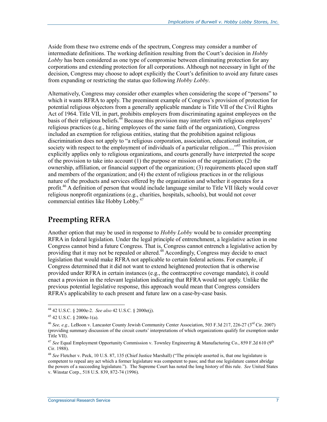Aside from these two extreme ends of the spectrum, Congress may consider a number of intermediate definitions. The working definition resulting from the Court's decision in *Hobby Lobby* has been considered as one type of compromise between eliminating protection for any corporations and extending protection for all corporations. Although not necessary in light of the decision, Congress may choose to adopt explicitly the Court's definition to avoid any future cases from expanding or restricting the status quo following *Hobby Lobby*.

Alternatively, Congress may consider other examples when considering the scope of "persons" to which it wants RFRA to apply. The preeminent example of Congress's provision of protection for potential religious objectors from a generally applicable mandate is Title VII of the Civil Rights Act of 1964. Title VII, in part, prohibits employers from discriminating against employees on the basis of their religious beliefs.<sup>44</sup> Because this provision may interfere with religious employers' religious practices (e.g., hiring employees of the same faith of the organization), Congress included an exemption for religious entities, stating that the prohibition against religious discrimination does not apply to "a religious corporation, association, educational institution, or society with respect to the employment of individuals of a particular religion....<sup>45</sup> This provision explicitly applies only to religious organizations, and courts generally have interpreted the scope of the provision to take into account  $(1)$  the purpose or mission of the organization;  $(2)$  the ownership, affiliation, or financial support of the organization; (3) requirements placed upon staff and members of the organization; and (4) the extent of religious practices in or the religious nature of the products and services offered by the organization and whether it operates for a profit.<sup>46</sup> A definition of person that would include language similar to Title VII likely would cover religious nonprofit organizations (e.g., charities, hospitals, schools), but would not cover commercial entities like Hobby Lobby.<sup>47</sup>

#### **Preempting RFRA**

Another option that may be used in response to *Hobby Lobby* would be to consider preempting RFRA in federal legislation. Under the legal principle of entrenchment, a legislative action in one Congress cannot bind a future Congress. That is, Congress cannot entrench a legislative action by providing that it may not be repealed or altered.<sup>48</sup> Accordingly, Congress may decide to enact legislation that would make RFRA not applicable to certain federal actions. For example, if Congress determined that it did not want to extend heightened protection that is otherwise provided under RFRA in certain instances (e.g., the contraceptive coverage mandate), it could enact a provision in the relevant legislation indicating that RFRA would not apply. Unlike the previous potential legislative response, this approach would mean that Congress considers RFRA's applicability to each present and future law on a case-by-case basis.

<sup>&</sup>lt;u>.</u> 44 42 U.S.C. § 2000e-2. *See also* 42 U.S.C. § 2000e(j).

<sup>45 42</sup> U.S.C. § 2000e-1(a).

<sup>46</sup> *See, e.g.,* LeBoon v. Lancaster County Jewish Community Center Association, 503 F.3d 217, 226-27 (3rd Cir. 2007) (providing summary discussion of the circuit courts' interpretations of which organizations qualify for exemption under Title VII).

<sup>&</sup>lt;sup>47</sup> See Equal Employment Opportunity Commission v. Townley Engineering & Manufacturing Co., 859 F.2d 610 (9<sup>th</sup> Cir. 1988).

<sup>48</sup> *See* Fletcher v. Peck, 10 U.S. 87, 135 (Chief Justice Marshall) ("The principle asserted is, that one legislature is competent to repeal any act which a former legislature was competent to pass; and that one legislature cannot abridge the powers of a succeeding legislature."). The Supreme Court has noted the long history of this rule. *See* United States v. Winstar Corp., 518 U.S. 839, 872-74 (1996).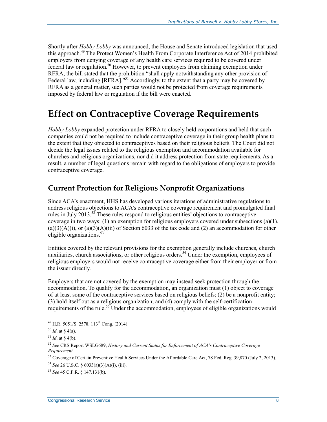Shortly after *Hobby Lobby* was announced, the House and Senate introduced legislation that used this approach.<sup>49</sup> The Protect Women's Health From Corporate Interference Act of 2014 prohibited employers from denying coverage of any health care services required to be covered under federal law or regulation.<sup>50</sup> However, to prevent employers from claiming exemption under RFRA, the bill stated that the prohibition "shall apply notwithstanding any other provision of Federal law, including [RFRA]."<sup>51</sup> Accordingly, to the extent that a party may be covered by RFRA as a general matter, such parties would not be protected from coverage requirements imposed by federal law or regulation if the bill were enacted.

### **Effect on Contraceptive Coverage Requirements**

*Hobby Lobby* expanded protection under RFRA to closely held corporations and held that such companies could not be required to include contraceptive coverage in their group health plans to the extent that they objected to contraceptives based on their religious beliefs. The Court did not decide the legal issues related to the religious exemption and accommodation available for churches and religious organizations, nor did it address protection from state requirements. As a result, a number of legal questions remain with regard to the obligations of employers to provide contraceptive coverage.

#### **Current Protection for Religious Nonprofit Organizations**

Since ACA's enactment, HHS has developed various iterations of administrative regulations to address religious objections to ACA's contraceptive coverage requirement and promulgated final rules in July 2013.<sup>52</sup> These rules respond to religious entities' objections to contraceptive coverage in two ways: (1) an exemption for religious employers covered under subsections (a)(1),  $(a)(3)(A)(i)$ , or  $(a)(3)(A)(iii)$  of Section 6033 of the tax code and (2) an accommodation for other eligible organizations.<sup>53</sup>

Entities covered by the relevant provisions for the exemption generally include churches, church auxiliaries, church associations, or other religious orders.<sup>54</sup> Under the exemption, employees of religious employers would not receive contraceptive coverage either from their employer or from the issuer directly.

Employers that are not covered by the exemption may instead seek protection through the accommodation. To qualify for the accommodation, an organization must (1) object to coverage of at least some of the contraceptive services based on religious beliefs; (2) be a nonprofit entity; (3) hold itself out as a religious organization; and (4) comply with the self-certification requirements of the rule.<sup>55</sup> Under the accommodation, employees of eligible organizations would

1

<sup>&</sup>lt;sup>49</sup> H.R. 5051/S. 2578, 113<sup>th</sup> Cong. (2014).

 $50$  *Id.* at § 4(a).

 $51$  *Id.* at § 4(b).

<sup>52</sup> *See* CRS Report WSLG689, *History and Current Status for Enforcement of ACA's Contraceptive Coverage Requirement.*

<sup>53</sup> Coverage of Certain Preventive Health Services Under the Affordable Care Act, 78 Fed. Reg. 39,870 (July 2, 2013).

<sup>54</sup> *See* 26 U.S.C. § 6033(a)(3)(A)(i), (iii).

<sup>55</sup> *See* 45 C.F.R. § 147.131(b).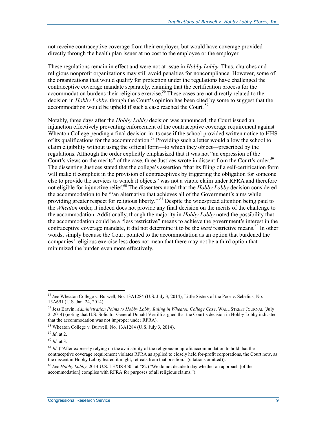not receive contraceptive coverage from their employer, but would have coverage provided directly through the health plan issuer at no cost to the employee or the employer.

These regulations remain in effect and were not at issue in *Hobby Lobby*. Thus, churches and religious nonprofit organizations may still avoid penalties for noncompliance. However, some of the organizations that would qualify for protection under the regulations have challenged the contraceptive coverage mandate separately, claiming that the certification process for the accommodation burdens their religious exercise.<sup>56</sup> These cases are not directly related to the decision in *Hobby Lobby*, though the Court's opinion has been cited by some to suggest that the accommodation would be upheld if such a case reached the Court.<sup>57</sup>

Notably, three days after the *Hobby Lobby* decision was announced, the Court issued an injunction effectively preventing enforcement of the contraceptive coverage requirement against Wheaton College pending a final decision in its case if the school provided written notice to HHS of its qualifications for the accommodation.<sup>58</sup> Providing such a letter would allow the school to claim eligibility without using the official form—to which they object—prescribed by the regulations. Although the order explicitly emphasized that it was not "an expression of the Court's views on the merits" of the case, three Justices wrote in dissent from the Court's order.<sup>59</sup> The dissenting Justices stated that the college's assertion "that its filing of a self-certification form will make it complicit in the provision of contraceptives by triggering the obligation for someone else to provide the services to which it objects" was not a viable claim under RFRA and therefore not eligible for injunctive relief.<sup>60</sup> The dissenters noted that the *Hobby Lobby* decision considered the accommodation to be "'an alternative that achieves all of the Government's aims while providing greater respect for religious liberty.<sup>"61</sup> Despite the widespread attention being paid to the *Wheaton* order, it indeed does not provide any final decision on the merits of the challenge to the accommodation. Additionally, though the majority in *Hobby Lobby* noted the possibility that the accommodation could be a "less restrictive" means to achieve the government's interest in the contraceptive coverage mandate, it did not determine it to be the *least* restrictive means.<sup>62</sup> In other words, simply because the Court pointed to the accommodation as an option that burdened the companies' religious exercise less does not mean that there may not be a third option that minimized the burden even more effectively.

<u>.</u>

<sup>56</sup> *See* Wheaton College v. Burwell, No. 13A1284 (U.S. July 3, 2014); Little Sisters of the Poor v. Sebelius, No. 13A691 (U.S. Jan. 24, 2014).

<sup>57</sup> Jess Bravin, *Administration Points to Hobby Lobby Ruling in Wheaton College Case*, WALL STREET JOURNAL (July 2, 2014) (noting that U.S. Solicitor General Donald Verrilli argued that the Court's decision in Hobby Lobby indicated that the accommodation was not improper under RFRA).

<sup>58</sup> Wheaton College v. Burwell, No. 13A1284 (U.S. July 3, 2014).

<sup>59</sup> *Id*. at 2.

<sup>60</sup> *Id*. at 3.

<sup>&</sup>lt;sup>61</sup> *Id.* ("After expressly relying on the availability of the religious-nonprofit accommodation to hold that the contraceptive coverage requirement violates RFRA as applied to closely held for-profit corporations, the Court now, as the dissent in Hobby Lobby feared it might, retreats from that position." (citations omitted)).

<sup>62</sup> *See Hobby Lobby*, 2014 U.S. LEXIS 4505 at \*82 ("We do not decide today whether an approach [of the accommodation] complies with RFRA for purposes of all religious claims.").